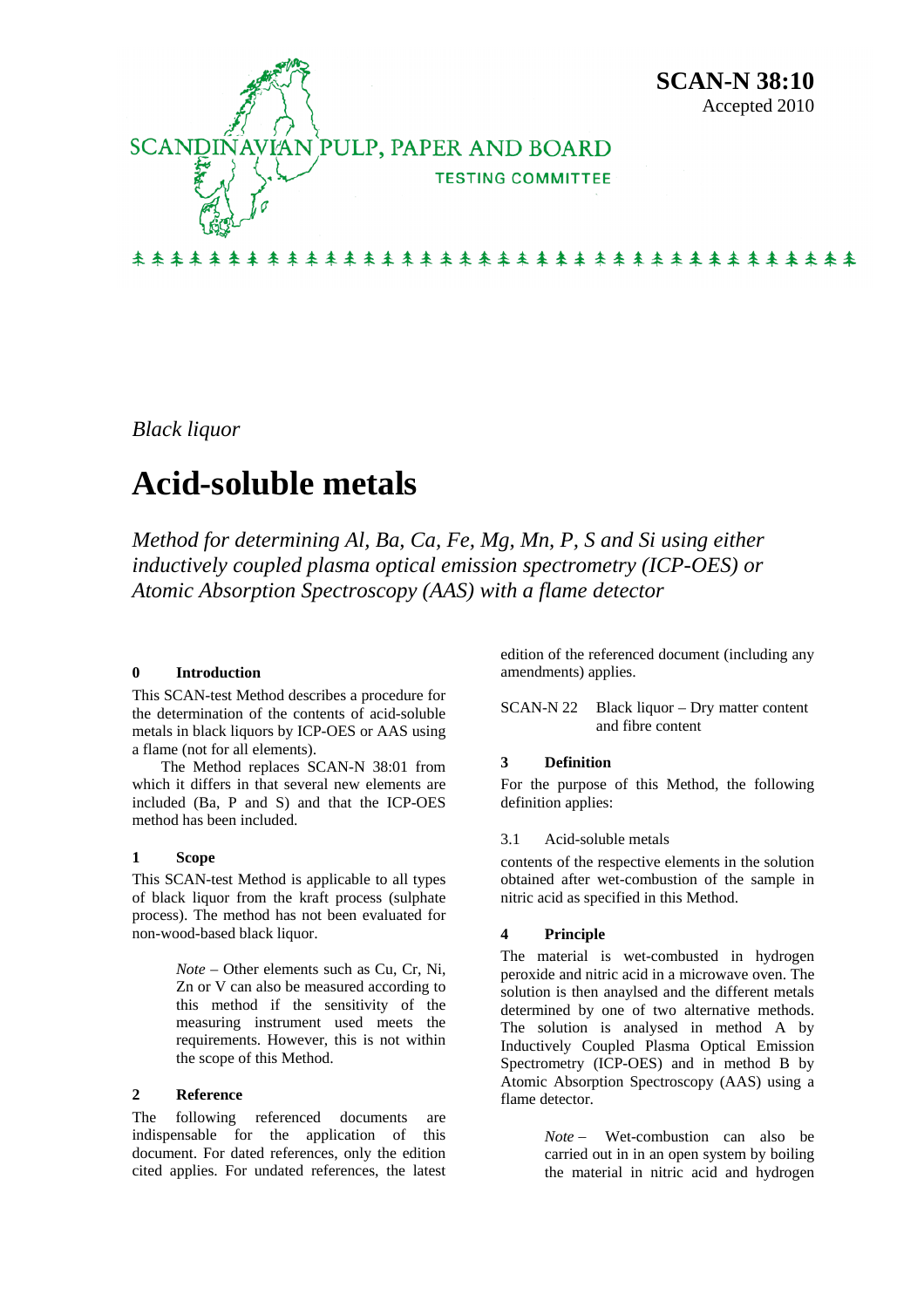

*Black liquor* 

# **Acid-soluble metals**

*Method for determining Al, Ba, Ca, Fe, Mg, Mn, P, S and Si using either inductively coupled plasma optical emission spectrometry (ICP-OES) or Atomic Absorption Spectroscopy (AAS) with a flame detector* 

# **0 Introduction**

This SCAN-test Method describes a procedure for the determination of the contents of acid-soluble metals in black liquors by ICP-OES or AAS using a flame (not for all elements).

The Method replaces SCAN-N 38:01 from which it differs in that several new elements are included (Ba, P and S) and that the ICP-OES method has been included.

#### **1 Scope**

This SCAN-test Method is applicable to all types of black liquor from the kraft process (sulphate process). The method has not been evaluated for non-wood-based black liquor.

> *Note* – Other elements such as Cu, Cr, Ni, Zn or V can also be measured according to this method if the sensitivity of the measuring instrument used meets the requirements. However, this is not within the scope of this Method.

#### **2 Reference**

The following referenced documents are indispensable for the application of this document. For dated references, only the edition cited applies. For undated references, the latest edition of the referenced document (including any amendments) applies.

SCAN-N 22 Black liquor – Dry matter content and fibre content

#### **3 Definition**

For the purpose of this Method, the following definition applies:

#### 3.1 Acid-soluble metals

contents of the respective elements in the solution obtained after wet-combustion of the sample in nitric acid as specified in this Method.

#### **4 Principle**

The material is wet-combusted in hydrogen peroxide and nitric acid in a microwave oven. The solution is then anaylsed and the different metals determined by one of two alternative methods. The solution is analysed in method A by Inductively Coupled Plasma Optical Emission Spectrometry (ICP-OES) and in method B by Atomic Absorption Spectroscopy (AAS) using a flame detector.

> *Note* − Wet-combustion can also be carried out in in an open system by boiling the material in nitric acid and hydrogen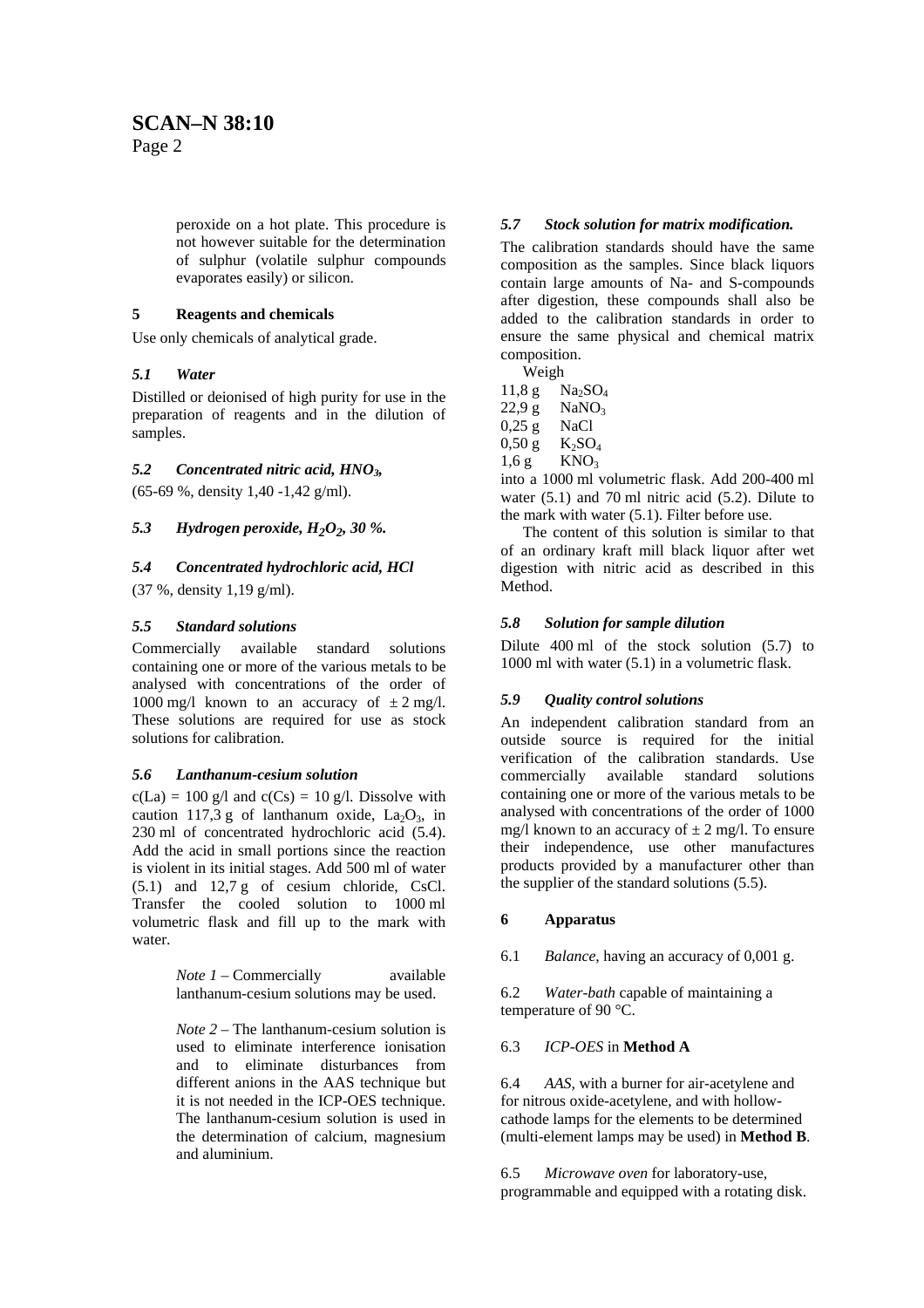Page 2

peroxide on a hot plate. This procedure is not however suitable for the determination of sulphur (volatile sulphur compounds evaporates easily) or silicon.

# **5 Reagents and chemicals**

Use only chemicals of analytical grade.

# *5.1 Water*

Distilled or deionised of high purity for use in the preparation of reagents and in the dilution of samples.

# *5.2 Concentrated nitric acid, HNO3,*

(65-69 %, density 1,40 -1,42 g/ml).

# *5.3 Hydrogen peroxide, H2O2, 30 %.*

# *5.4 Concentrated hydrochloric acid, HCl*

(37 %, density 1,19 g/ml).

# *5.5 Standard solutions*

Commercially available standard solutions containing one or more of the various metals to be analysed with concentrations of the order of 1000 mg/l known to an accuracy of  $\pm 2$  mg/l. These solutions are required for use as stock solutions for calibration.

# *5.6 Lanthanum-cesium solution*

 $c(La) = 100$  g/l and  $c(Cs) = 10$  g/l. Dissolve with caution 117,3 g of lanthanum oxide,  $La_2O_3$ , in 230 ml of concentrated hydrochloric acid (5.4). Add the acid in small portions since the reaction is violent in its initial stages. Add 500 ml of water (5.1) and 12,7 g of cesium chloride, CsCl. Transfer the cooled solution to 1000 ml volumetric flask and fill up to the mark with water.

> *Note 1* – Commercially available lanthanum-cesium solutions may be used.

*Note 2 –* The lanthanum-cesium solution is used to eliminate interference ionisation and to eliminate disturbances from different anions in the AAS technique but it is not needed in the ICP-OES technique. The lanthanum-cesium solution is used in the determination of calcium, magnesium and aluminium.

# *5.7 Stock solution for matrix modification.*

The calibration standards should have the same composition as the samples. Since black liquors contain large amounts of Na- and S-compounds after digestion, these compounds shall also be added to the calibration standards in order to ensure the same physical and chemical matrix composition.

Weigh

- $11,8 \text{ g}$  Na<sub>2</sub>SO<sub>4</sub>  $22.9 g$  NaNO<sub>3</sub> 0,25 g NaCl  $0,50 \text{ g}$  K<sub>2</sub>SO<sub>4</sub>
- $1,6$  g KNO<sub>3</sub>

into a 1000 ml volumetric flask. Add 200-400 ml water (5.1) and 70 ml nitric acid (5.2). Dilute to the mark with water (5.1). Filter before use.

The content of this solution is similar to that of an ordinary kraft mill black liquor after wet digestion with nitric acid as described in this Method.

# *5.8 Solution for sample dilution*

Dilute 400 ml of the stock solution (5.7) to 1000 ml with water (5.1) in a volumetric flask.

# *5.9 Quality control solutions*

An independent calibration standard from an outside source is required for the initial verification of the calibration standards. Use commercially available standard solutions containing one or more of the various metals to be analysed with concentrations of the order of 1000 mg/l known to an accuracy of  $\pm 2$  mg/l. To ensure their independence, use other manufactures products provided by a manufacturer other than the supplier of the standard solutions (5.5).

# **6 Apparatus**

6.1 *Balance*, having an accuracy of 0,001 g.

6.2 *Water-bath* capable of maintaining a temperature of 90 °C.

# 6.3 *ICP-OES* in **Method A**

6.4 *AAS,* with a burner for air-acetylene and for nitrous oxide-acetylene, and with hollowcathode lamps for the elements to be determined (multi-element lamps may be used) in **Method B**.

6.5 *Microwave oven* for laboratory-use, programmable and equipped with a rotating disk.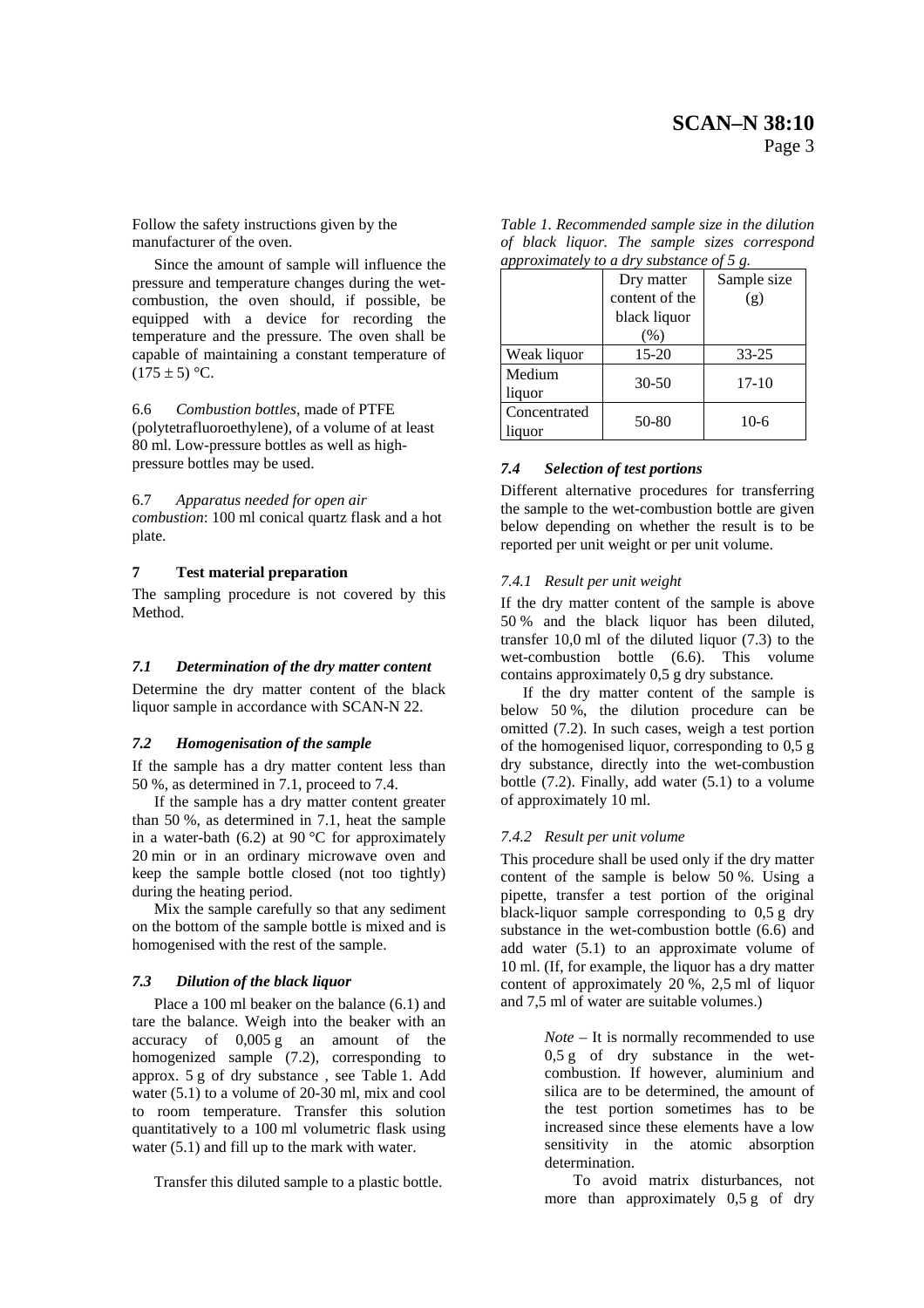Follow the safety instructions given by the manufacturer of the oven.

Since the amount of sample will influence the pressure and temperature changes during the wetcombustion, the oven should, if possible, be equipped with a device for recording the temperature and the pressure. The oven shall be capable of maintaining a constant temperature of  $(175 \pm 5)$  °C.

6.6 *Combustion bottles*, made of PTFE (polytetrafluoroethylene), of a volume of at least 80 ml. Low-pressure bottles as well as highpressure bottles may be used.

6.7 *Apparatus needed for open air combustion*: 100 ml conical quartz flask and a hot plate.

# **7 Test material preparation**

The sampling procedure is not covered by this Method.

# *7.1 Determination of the dry matter content*

Determine the dry matter content of the black liquor sample in accordance with SCAN-N 22.

# *7.2 Homogenisation of the sample*

If the sample has a dry matter content less than 50 %, as determined in 7.1, proceed to 7.4.

If the sample has a dry matter content greater than 50 %, as determined in 7.1, heat the sample in a water-bath  $(6.2)$  at 90 °C for approximately 20 min or in an ordinary microwave oven and keep the sample bottle closed (not too tightly) during the heating period.

Mix the sample carefully so that any sediment on the bottom of the sample bottle is mixed and is homogenised with the rest of the sample.

#### *7.3 Dilution of the black liquor*

Place a 100 ml beaker on the balance (6.1) and tare the balance. Weigh into the beaker with an accuracy of 0,005 g an amount of the homogenized sample (7.2), corresponding to approx. 5 g of dry substance , see Table 1. Add water (5.1) to a volume of 20-30 ml, mix and cool to room temperature. Transfer this solution quantitatively to a 100 ml volumetric flask using water  $(5.1)$  and fill up to the mark with water.

Transfer this diluted sample to a plastic bottle.

| approximately to a dry substance of $5 g$ . |                |             |  |  |  |
|---------------------------------------------|----------------|-------------|--|--|--|
|                                             | Dry matter     | Sample size |  |  |  |
|                                             | content of the | (g)         |  |  |  |
|                                             | black liquor   |             |  |  |  |
|                                             | (% )           |             |  |  |  |
| Weak liquor                                 | 15-20          | $33 - 25$   |  |  |  |
| Medium                                      | $30 - 50$      | $17-10$     |  |  |  |
| liquor                                      |                |             |  |  |  |
| Concentrated<br>liauor                      | 50-80          | $10-6$      |  |  |  |

| Table 1. Recommended sample size in the dilution |  |  |  |  |  |                                              |
|--------------------------------------------------|--|--|--|--|--|----------------------------------------------|
|                                                  |  |  |  |  |  | of black liquor. The sample sizes correspond |
| approximately to a dry substance of 5 a          |  |  |  |  |  |                                              |

# *7.4 Selection of test portions*

Different alternative procedures for transferring the sample to the wet-combustion bottle are given below depending on whether the result is to be reported per unit weight or per unit volume.

#### *7.4.1 Result per unit weight*

If the dry matter content of the sample is above 50 % and the black liquor has been diluted, transfer 10,0 ml of the diluted liquor (7.3) to the wet-combustion bottle (6.6). This volume contains approximately 0,5 g dry substance.

If the dry matter content of the sample is below 50 %, the dilution procedure can be omitted (7.2). In such cases, weigh a test portion of the homogenised liquor, corresponding to 0,5 g dry substance, directly into the wet-combustion bottle (7.2). Finally, add water (5.1) to a volume of approximately 10 ml.

#### *7.4.2 Result per unit volume*

This procedure shall be used only if the dry matter content of the sample is below 50 %. Using a pipette, transfer a test portion of the original black-liquor sample corresponding to  $0.5 g$  dry substance in the wet-combustion bottle (6.6) and add water (5.1) to an approximate volume of 10 ml. (If, for example, the liquor has a dry matter content of approximately 20 %, 2,5 ml of liquor and 7,5 ml of water are suitable volumes.)

> *Note* – It is normally recommended to use 0,5 g of dry substance in the wetcombustion. If however, aluminium and silica are to be determined, the amount of the test portion sometimes has to be increased since these elements have a low sensitivity in the atomic absorption determination.

> To avoid matrix disturbances, not more than approximately 0,5 g of dry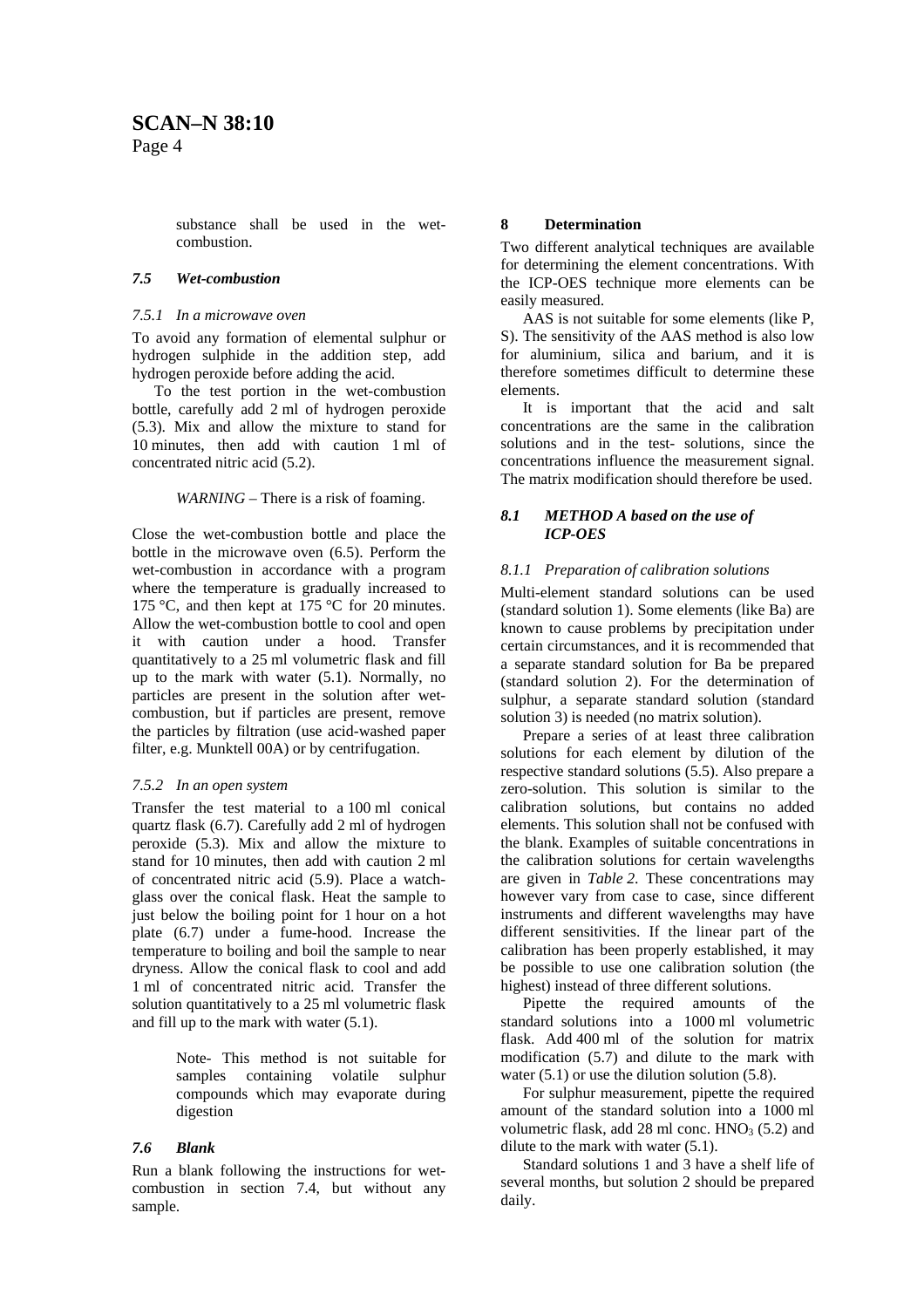substance shall be used in the wetcombustion.

#### *7.5 Wet-combustion*

#### *7.5.1 In a microwave oven*

To avoid any formation of elemental sulphur or hydrogen sulphide in the addition step, add hydrogen peroxide before adding the acid.

To the test portion in the wet-combustion bottle, carefully add 2 ml of hydrogen peroxide (5.3). Mix and allow the mixture to stand for 10 minutes, then add with caution 1 ml of concentrated nitric acid (5.2).

#### *WARNING* – There is a risk of foaming.

Close the wet-combustion bottle and place the bottle in the microwave oven (6.5). Perform the wet-combustion in accordance with a program where the temperature is gradually increased to 175 °C, and then kept at 175 °C for 20 minutes. Allow the wet-combustion bottle to cool and open it with caution under a hood. Transfer quantitatively to a 25 ml volumetric flask and fill up to the mark with water (5.1). Normally, no particles are present in the solution after wetcombustion, but if particles are present, remove the particles by filtration (use acid-washed paper filter, e.g. Munktell 00A) or by centrifugation.

# *7.5.2 In an open system*

Transfer the test material to a 100 ml conical quartz flask (6.7). Carefully add 2 ml of hydrogen peroxide (5.3). Mix and allow the mixture to stand for 10 minutes, then add with caution 2 ml of concentrated nitric acid (5.9). Place a watchglass over the conical flask. Heat the sample to just below the boiling point for 1 hour on a hot plate (6.7) under a fume-hood. Increase the temperature to boiling and boil the sample to near dryness. Allow the conical flask to cool and add 1 ml of concentrated nitric acid. Transfer the solution quantitatively to a 25 ml volumetric flask and fill up to the mark with water (5.1).

> Note- This method is not suitable for samples containing volatile sulphur compounds which may evaporate during digestion

# *7.6 Blank*

Run a blank following the instructions for wetcombustion in section 7.4, but without any sample.

# **8 Determination**

Two different analytical techniques are available for determining the element concentrations. With the ICP-OES technique more elements can be easily measured.

AAS is not suitable for some elements (like P, S). The sensitivity of the AAS method is also low for aluminium, silica and barium, and it is therefore sometimes difficult to determine these elements.

It is important that the acid and salt concentrations are the same in the calibration solutions and in the test- solutions, since the concentrations influence the measurement signal. The matrix modification should therefore be used.

# *8.1 METHOD A based on the use of ICP-OES*

# *8.1.1 Preparation of calibration solutions*

Multi-element standard solutions can be used (standard solution 1). Some elements (like Ba) are known to cause problems by precipitation under certain circumstances, and it is recommended that a separate standard solution for Ba be prepared (standard solution 2). For the determination of sulphur, a separate standard solution (standard solution 3) is needed (no matrix solution).

Prepare a series of at least three calibration solutions for each element by dilution of the respective standard solutions (5.5). Also prepare a zero-solution. This solution is similar to the calibration solutions, but contains no added elements. This solution shall not be confused with the blank. Examples of suitable concentrations in the calibration solutions for certain wavelengths are given in *Table 2*. These concentrations may however vary from case to case, since different instruments and different wavelengths may have different sensitivities. If the linear part of the calibration has been properly established, it may be possible to use one calibration solution (the highest) instead of three different solutions.

Pipette the required amounts of the standard solutions into a 1000 ml volumetric flask. Add 400 ml of the solution for matrix modification (5.7) and dilute to the mark with water (5.1) or use the dilution solution (5.8).

For sulphur measurement, pipette the required amount of the standard solution into a 1000 ml volumetric flask, add 28 ml conc.  $HNO<sub>3</sub>$  (5.2) and dilute to the mark with water (5.1).

Standard solutions 1 and 3 have a shelf life of several months, but solution 2 should be prepared daily.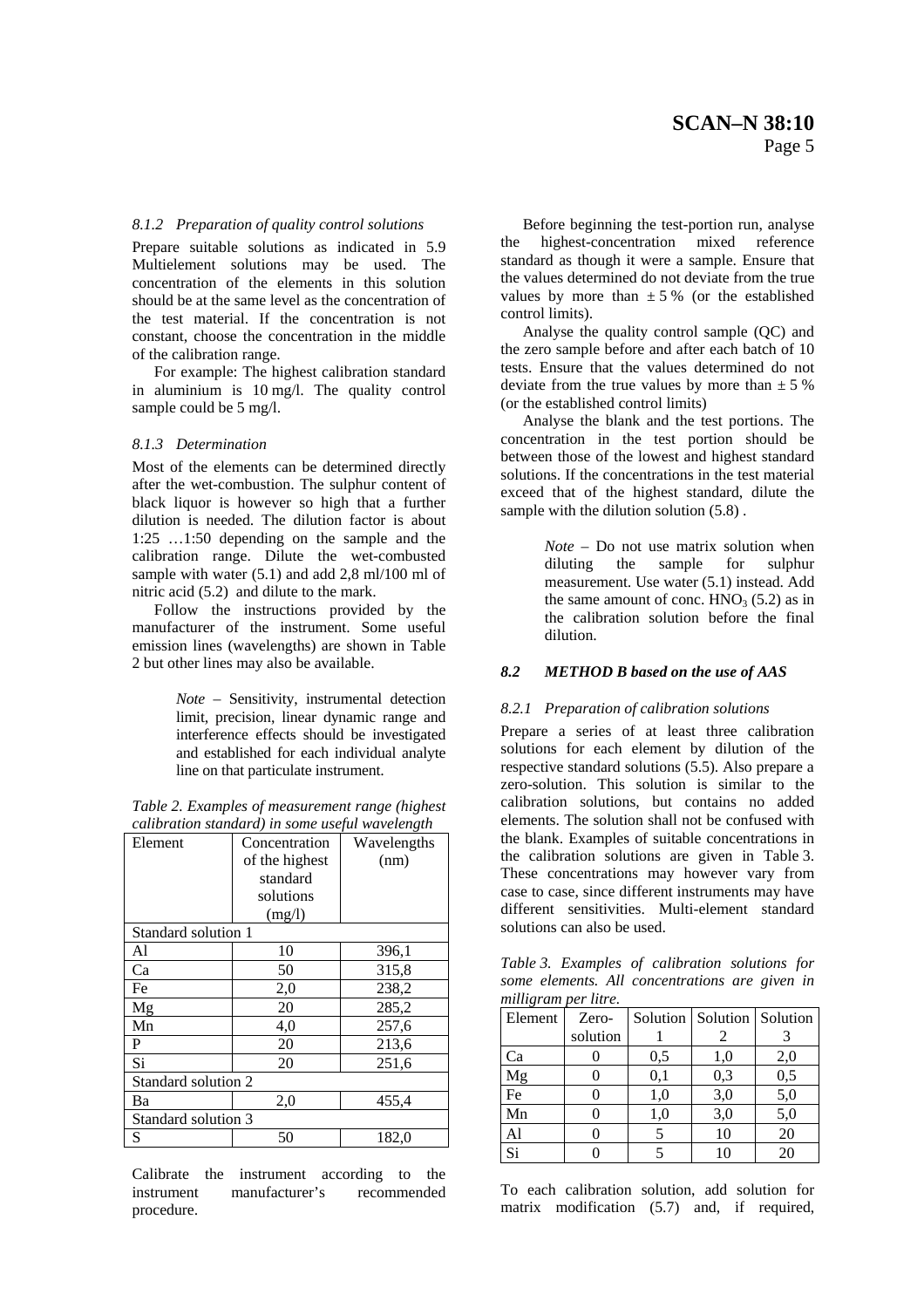#### *8.1.2 Preparation of quality control solutions*

Prepare suitable solutions as indicated in 5.9 Multielement solutions may be used. The concentration of the elements in this solution should be at the same level as the concentration of the test material. If the concentration is not constant, choose the concentration in the middle of the calibration range.

For example: The highest calibration standard in aluminium is 10 mg/l. The quality control sample could be 5 mg/l.

#### *8.1.3 Determination*

Most of the elements can be determined directly after the wet-combustion. The sulphur content of black liquor is however so high that a further dilution is needed. The dilution factor is about 1:25 …1:50 depending on the sample and the calibration range. Dilute the wet-combusted sample with water  $(5.1)$  and add 2.8 ml/100 ml of nitric acid (5.2) and dilute to the mark.

Follow the instructions provided by the manufacturer of the instrument. Some useful emission lines (wavelengths) are shown in Table 2 but other lines may also be available.

> *Note* – Sensitivity, instrumental detection limit, precision, linear dynamic range and interference effects should be investigated and established for each individual analyte line on that particulate instrument.

*Table 2. Examples of measurement range (highest calibration standard) in some useful wavelength* 

| canoranon sianaara) in some asepa wavelengin |                |             |  |  |  |  |
|----------------------------------------------|----------------|-------------|--|--|--|--|
| Element                                      | Concentration  | Wavelengths |  |  |  |  |
|                                              | of the highest | (nm)        |  |  |  |  |
|                                              | standard       |             |  |  |  |  |
|                                              | solutions      |             |  |  |  |  |
|                                              | (mg/l)         |             |  |  |  |  |
| Standard solution 1                          |                |             |  |  |  |  |
| Al                                           | 10             | 396,1       |  |  |  |  |
| Ca                                           | 50             | 315,8       |  |  |  |  |
| Fe                                           | 2,0            | 238,2       |  |  |  |  |
| Mg                                           | 20             | 285,2       |  |  |  |  |
| Mn                                           | 4,0            | 257,6       |  |  |  |  |
| P                                            | 20             | 213,6       |  |  |  |  |
| Si                                           | 20             | 251,6       |  |  |  |  |
| Standard solution 2                          |                |             |  |  |  |  |
| Ba                                           | 2,0            | 455,4       |  |  |  |  |
| Standard solution 3                          |                |             |  |  |  |  |
| S                                            | 50             | 182,0       |  |  |  |  |
|                                              |                |             |  |  |  |  |

Calibrate the instrument according to the instrument manufacturer's recommended procedure.

Before beginning the test-portion run, analyse the highest-concentration mixed reference standard as though it were a sample. Ensure that the values determined do not deviate from the true values by more than  $\pm 5$ % (or the established control limits).

Analyse the quality control sample (QC) and the zero sample before and after each batch of 10 tests. Ensure that the values determined do not deviate from the true values by more than  $\pm$  5 % (or the established control limits)

Analyse the blank and the test portions. The concentration in the test portion should be between those of the lowest and highest standard solutions. If the concentrations in the test material exceed that of the highest standard, dilute the sample with the dilution solution  $(5.8)$ .

> *Note –* Do not use matrix solution when diluting the sample for sulphur measurement. Use water (5.1) instead. Add the same amount of conc.  $HNO<sub>3</sub>$  (5.2) as in the calibration solution before the final dilution.

#### *8.2 METHOD B based on the use of AAS*

#### *8.2.1 Preparation of calibration solutions*

Prepare a series of at least three calibration solutions for each element by dilution of the respective standard solutions (5.5). Also prepare a zero-solution. This solution is similar to the calibration solutions, but contains no added elements. The solution shall not be confused with the blank. Examples of suitable concentrations in the calibration solutions are given in Table 3. These concentrations may however vary from case to case, since different instruments may have different sensitivities. Multi-element standard solutions can also be used.

*Table 3. Examples of calibration solutions for some elements. All concentrations are given in milligram per litre.* 

| $\cdot$<br>Element | Zero-    |     | Solution   Solution   Solution |     |  |
|--------------------|----------|-----|--------------------------------|-----|--|
|                    | solution |     |                                |     |  |
| Ca                 |          | 0,5 | 1,0                            | 2,0 |  |
| Mg                 |          | 0,1 | 0,3                            | 0,5 |  |
| $\rm Fe$           |          | 1,0 | 3,0                            | 5,0 |  |
| Mn                 |          | 1,0 | 3,0                            | 5,0 |  |
| Al                 |          |     | 10                             | 20  |  |
| Si                 |          |     | 10                             | 20  |  |

To each calibration solution, add solution for matrix modification (5.7) and, if required,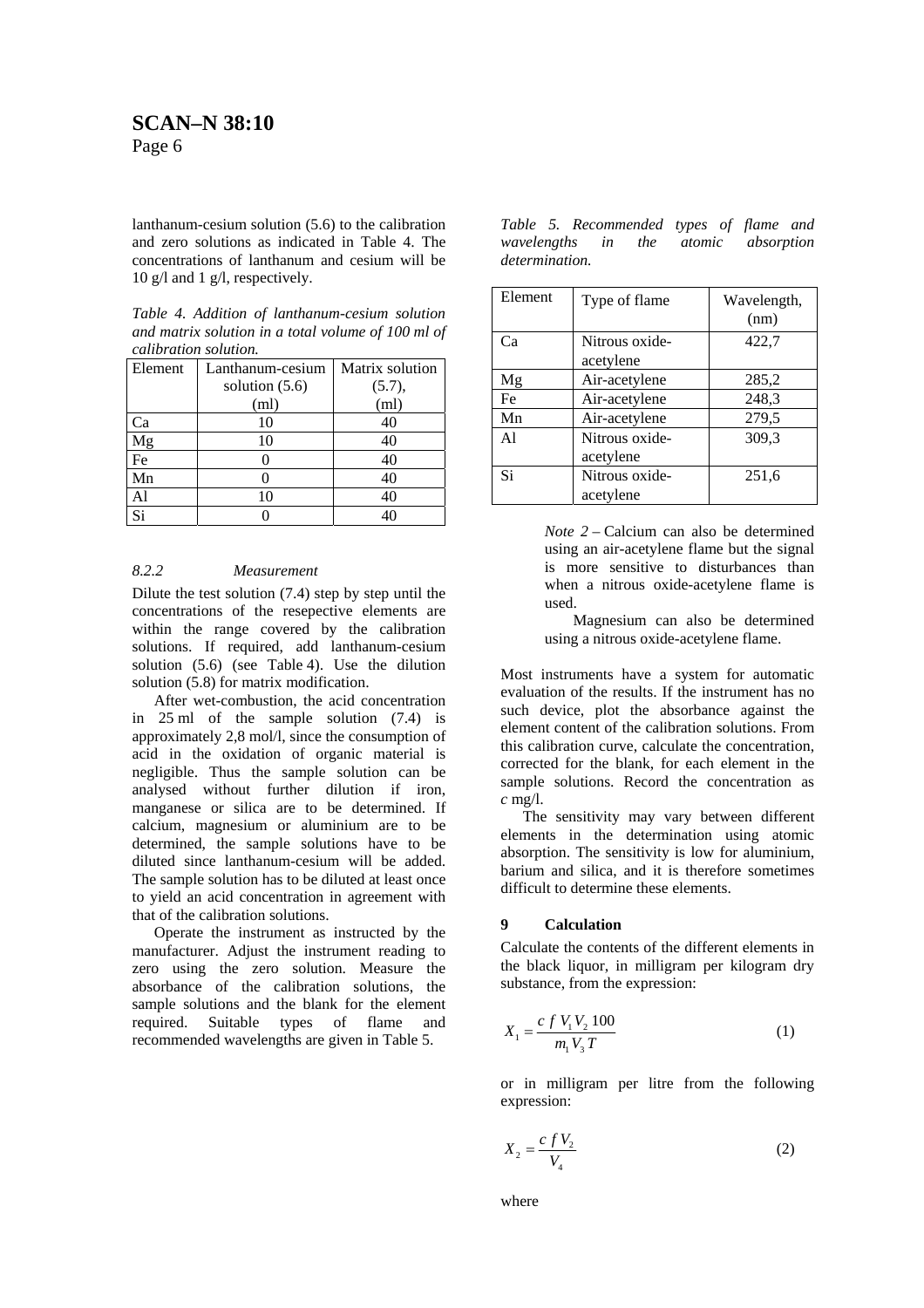lanthanum-cesium solution (5.6) to the calibration and zero solutions as indicated in Table 4. The concentrations of lanthanum and cesium will be 10 g/l and 1 g/l, respectively.

| Table 4. Addition of lanthanum-cesium solution     |  |
|----------------------------------------------------|--|
| and matrix solution in a total volume of 100 ml of |  |
| calibration solution.                              |  |

| Element  | Lanthanum-cesium  | Matrix solution |  |  |
|----------|-------------------|-----------------|--|--|
|          | solution $(5.6)$  | (5.7),          |  |  |
|          | (m <sub>l</sub> ) | (ml)            |  |  |
| Ca       | 10                | 40              |  |  |
| Mg       | 10                | 40              |  |  |
| $\rm Fe$ |                   | 40              |  |  |
| Mn       |                   | 40              |  |  |
| Al       | 10                | 40              |  |  |
| Si       |                   |                 |  |  |

#### *8.2.2 Measurement*

Dilute the test solution (7.4) step by step until the concentrations of the resepective elements are within the range covered by the calibration solutions. If required, add lanthanum-cesium solution (5.6) (see Table 4). Use the dilution solution (5.8) for matrix modification.

After wet-combustion, the acid concentration in 25 ml of the sample solution (7.4) is approximately 2,8 mol/l, since the consumption of acid in the oxidation of organic material is negligible. Thus the sample solution can be analysed without further dilution if iron, manganese or silica are to be determined. If calcium, magnesium or aluminium are to be determined, the sample solutions have to be diluted since lanthanum-cesium will be added. The sample solution has to be diluted at least once to yield an acid concentration in agreement with that of the calibration solutions.

Operate the instrument as instructed by the manufacturer. Adjust the instrument reading to zero using the zero solution. Measure the absorbance of the calibration solutions, the sample solutions and the blank for the element required. Suitable types of flame and recommended wavelengths are given in Table 5.

*Table 5. Recommended types of flame and wavelengths in the atomic absorption determination.* 

| Element | Type of flame               | Wavelength,<br>(nm) |
|---------|-----------------------------|---------------------|
| Ca      | Nitrous oxide-<br>acetylene | 422,7               |
| Mg      | Air-acetylene               | 285,2               |
| Fe      | Air-acetylene               | 248,3               |
| Mn      | Air-acetylene               | 279,5               |
| A1      | Nitrous oxide-<br>acetylene | 309,3               |
| Si      | Nitrous oxide-<br>acetylene | 251,6               |

*Note 2* – Calcium can also be determined using an air-acetylene flame but the signal is more sensitive to disturbances than when a nitrous oxide-acetylene flame is used.

 Magnesium can also be determined using a nitrous oxide-acetylene flame.

Most instruments have a system for automatic evaluation of the results. If the instrument has no such device, plot the absorbance against the element content of the calibration solutions. From this calibration curve, calculate the concentration, corrected for the blank, for each element in the sample solutions. Record the concentration as *c* mg/l.

The sensitivity may vary between different elements in the determination using atomic absorption. The sensitivity is low for aluminium, barium and silica, and it is therefore sometimes difficult to determine these elements.

#### **9 Calculation**

Calculate the contents of the different elements in the black liquor, in milligram per kilogram dry substance, from the expression:

$$
X_1 = \frac{c f V_1 V_2 100}{m_1 V_3 T}
$$
 (1)

or in milligram per litre from the following expression:

$$
X_2 = \frac{c f V_2}{V_4} \tag{2}
$$

where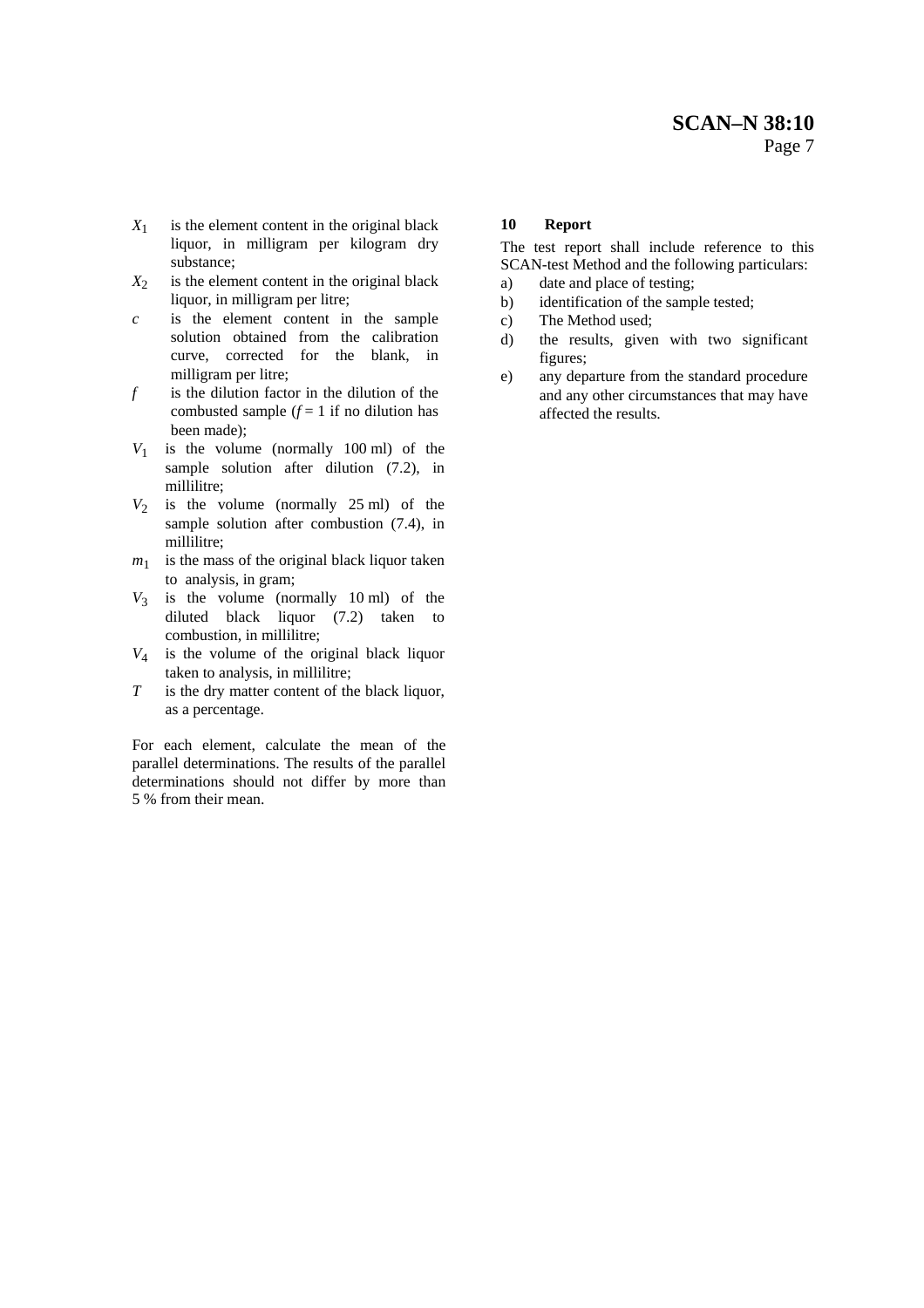- $X_1$  is the element content in the original black liquor, in milligram per kilogram dry substance;
- $X_2$  is the element content in the original black liquor, in milligram per litre;
- *c* is the element content in the sample solution obtained from the calibration curve, corrected for the blank, in milligram per litre;
- *f* is the dilution factor in the dilution of the combusted sample  $(f = 1$  if no dilution has been made);
- $V_1$  is the volume (normally 100 ml) of the sample solution after dilution  $(7.2)$ , in millilitre;
- $V_2$  is the volume (normally 25 ml) of the sample solution after combustion (7.4), in millilitre;
- $m_1$  is the mass of the original black liquor taken to analysis, in gram;
- $V_3$  is the volume (normally 10 ml) of the diluted black liquor (7.2) taken to combustion, in millilitre;
- *V*<sup>4</sup> is the volume of the original black liquor taken to analysis, in millilitre;
- *T* is the dry matter content of the black liquor, as a percentage.

For each element, calculate the mean of the parallel determinations. The results of the parallel determinations should not differ by more than 5 % from their mean.

# **10 Report**

The test report shall include reference to this SCAN-test Method and the following particulars:

- a) date and place of testing;
- b) identification of the sample tested;
- c) The Method used;
- d) the results, given with two significant figures;
- e) any departure from the standard procedure and any other circumstances that may have affected the results.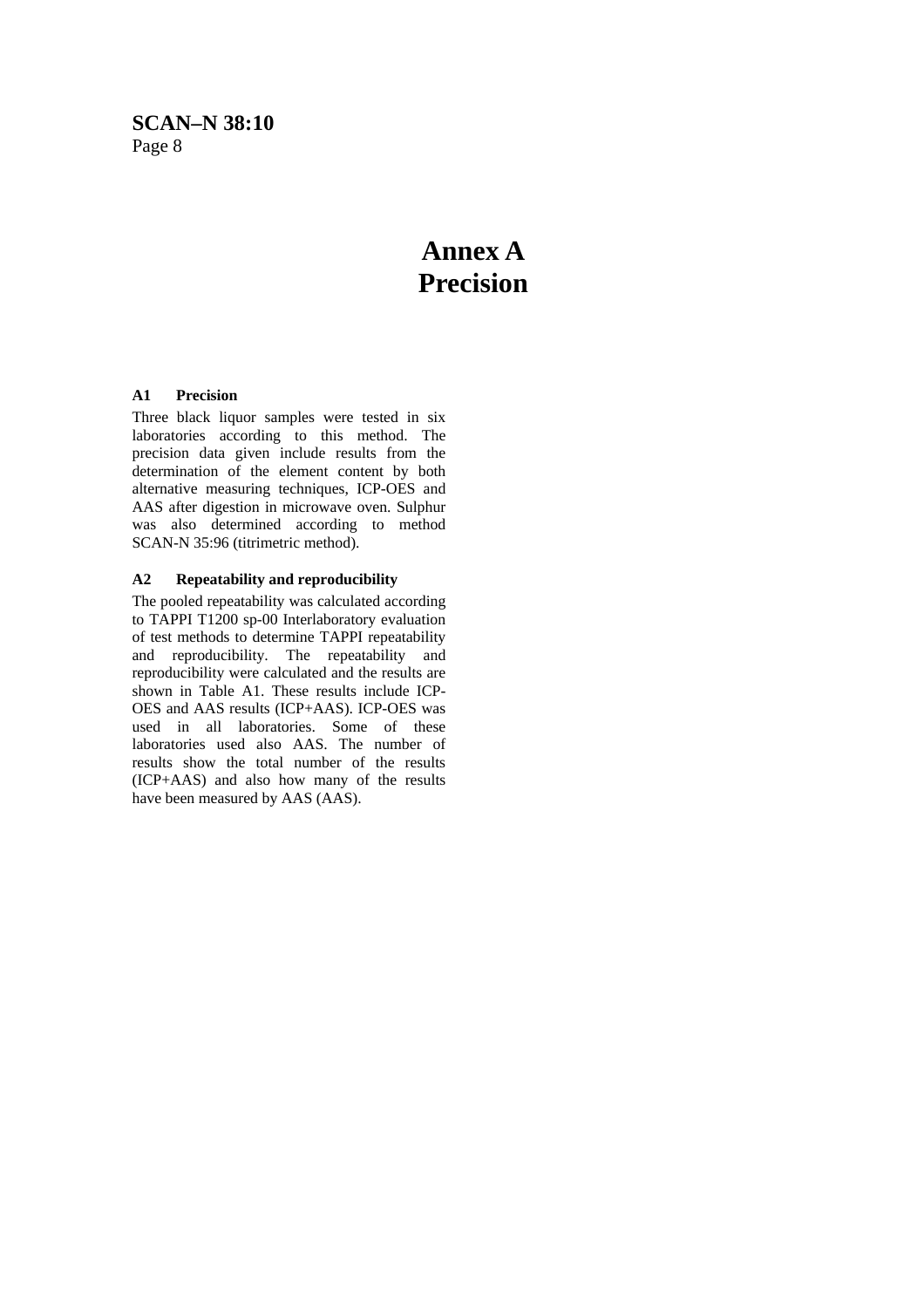# **Annex A Precision**

# **A1 Precision**

Three black liquor samples were tested in six laboratories according to this method. The precision data given include results from the determination of the element content by both alternative measuring techniques, ICP-OES and AAS after digestion in microwave oven. Sulphur was also determined according to method SCAN-N 35:96 (titrimetric method).

# **A2 Repeatability and reproducibility**

The pooled repeatability was calculated according to TAPPI T1200 sp-00 Interlaboratory evaluation of test methods to determine TAPPI repeatability and reproducibility. The repeatability and reproducibility were calculated and the results are shown in Table A1. These results include ICP-OES and AAS results (ICP+AAS). ICP-OES was used in all laboratories. Some of these laboratories used also AAS. The number of results show the total number of the results (ICP+AAS) and also how many of the results have been measured by AAS (AAS).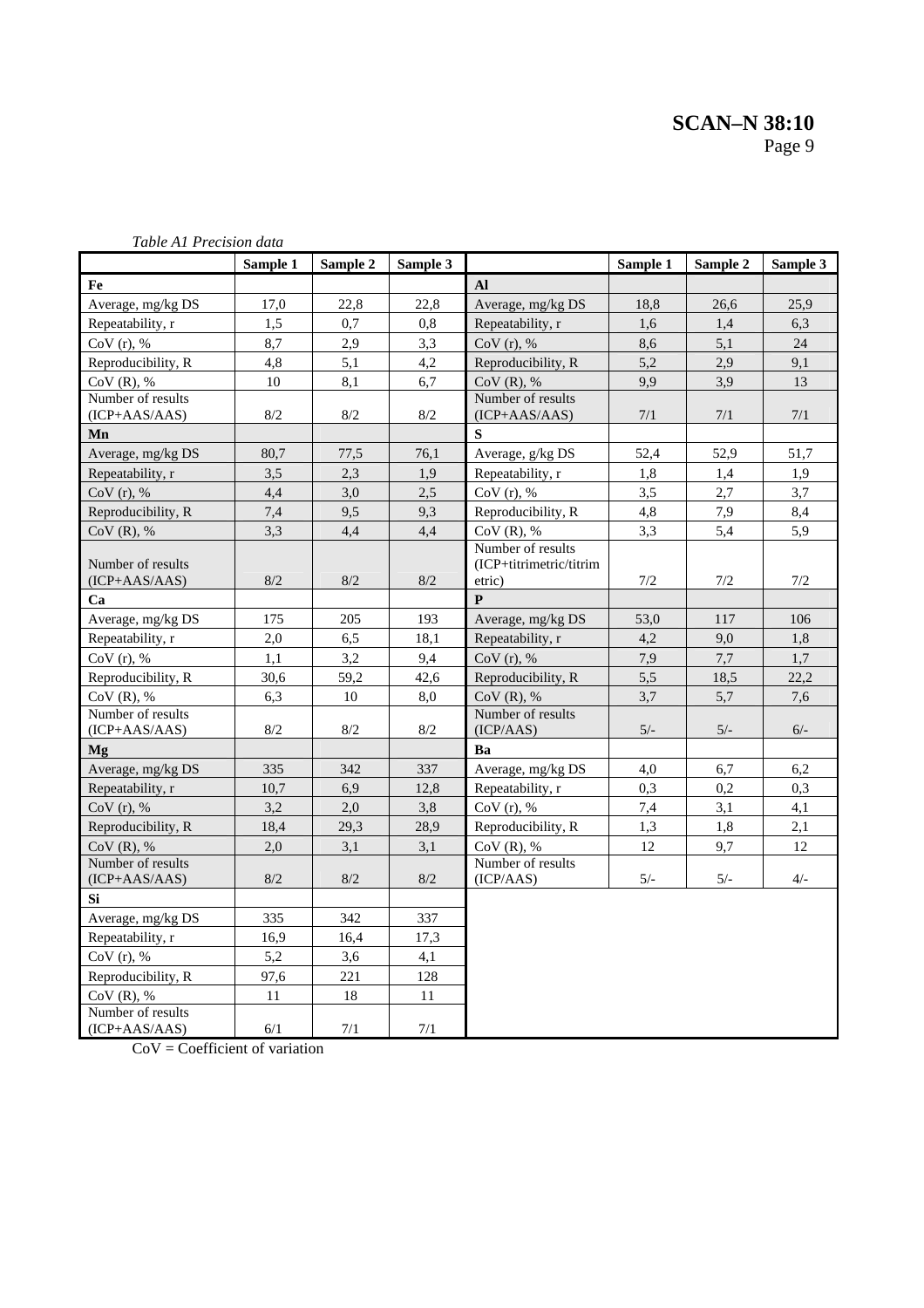|                                      | Sample 1 | Sample 2 | Sample 3 |                                | Sample 1 | Sample 2 | Sample 3 |
|--------------------------------------|----------|----------|----------|--------------------------------|----------|----------|----------|
| Fe                                   |          |          |          | <b>Al</b>                      |          |          |          |
| Average, mg/kg DS                    | 17,0     | 22,8     | 22,8     | Average, mg/kg DS              | 18,8     | 26,6     | 25,9     |
| Repeatability, r                     | 1,5      | 0,7      | 0,8      | Repeatability, r               | 1,6      | 1,4      | 6.3      |
| $CoV(r)$ , %                         | 8,7      | 2,9      | 3,3      | $CoV(r)$ , %                   | 8,6      | 5,1      | 24       |
| Reproducibility, R                   | 4,8      | 5,1      | 4,2      | Reproducibility, R             | 5,2      | 2,9      | 9,1      |
| $CoV(R)$ , %                         | 10       | 8,1      | 6,7      | $CoV(R)$ , %                   | 9.9      | 3,9      | 13       |
| Number of results                    |          |          |          | Number of results              |          |          |          |
| $(ICP+AAS/AAS)$                      | 8/2      | 8/2      | 8/2      | $(ICP+AAS/AAS)$                | 7/1      | 7/1      | 7/1      |
| Mn                                   |          |          |          | $\bf s$                        |          |          |          |
| Average, mg/kg DS                    | 80,7     | 77,5     | 76,1     | Average, g/kg DS               | 52,4     | 52,9     | 51,7     |
| Repeatability, r                     | 3,5      | 2,3      | 1,9      | Repeatability, r               | 1,8      | 1,4      | 1,9      |
| $CoV(r)$ , %                         | 4,4      | 3,0      | 2,5      | $CoV(r)$ , %                   | 3,5      | 2,7      | 3,7      |
| Reproducibility, R                   | 7.4      | 9.5      | 9.3      | Reproducibility, R             | 4,8      | 7,9      | 8,4      |
| $CoV(R)$ , %                         | 3,3      | 4,4      | 4,4      | $CoV(R)$ , %                   | 3,3      | 5,4      | 5,9      |
|                                      |          |          |          | Number of results              |          |          |          |
| Number of results                    | 8/2      | 8/2      | 8/2      | (ICP+titrimetric/titrim        |          |          | 7/2      |
| $(ICP+AAS/AAS)$                      |          |          |          | etric)<br>$\mathbf{p}$         | 7/2      | 7/2      |          |
| Ca                                   |          |          |          |                                |          |          |          |
| Average, mg/kg DS                    | 175      | 205      | 193      | Average, mg/kg DS              | 53,0     | 117      | 106      |
| Repeatability, r                     | 2,0      | 6,5      | 18,1     | Repeatability, r               | 4,2      | 9,0      | 1,8      |
| $CoV(r)$ , %                         | 1,1      | 3,2      | 9,4      | $CoV(r)$ , %                   | 7,9      | 7,7      | 1,7      |
| Reproducibility, R                   | 30,6     | 59,2     | 42,6     | Reproducibility, R             | 5,5      | 18,5     | 22,2     |
| $CoV(R)$ , %                         | 6.3      | 10       | 8,0      | $CoV(R)$ , %                   | 3,7      | 5,7      | 7,6      |
| Number of results<br>$(ICP+AAS/AAS)$ | 8/2      | 8/2      | 8/2      | Number of results<br>(ICP/AdS) | $5/-$    | $5/-$    | $6/-$    |
| Mg                                   |          |          |          | Ba                             |          |          |          |
| Average, mg/kg DS                    | 335      | 342      | 337      | Average, mg/kg DS              | 4,0      | 6,7      | 6,2      |
| Repeatability, r                     | 10,7     | 6,9      | 12,8     | Repeatability, r               | 0,3      | 0,2      | 0,3      |
| $CoV(r)$ , %                         | 3,2      | 2,0      | 3,8      | $CoV(r)$ , %                   | 7,4      | 3,1      | 4,1      |
| Reproducibility, R                   | 18,4     | 29,3     | 28,9     | Reproducibility, R             | 1,3      | 1,8      | 2,1      |
| $CoV(R)$ , %                         | 2,0      | 3,1      | 3,1      | $CoV(R)$ , %                   | 12       | 9,7      | 12       |
| Number of results                    |          |          |          | Number of results              |          |          |          |
| $(ICP+AAS/AAS)$                      | 8/2      | 8/2      | $8/2$    | (ICP/AdS)                      | $5/-$    | $5/-$    | $4/-$    |
| Si                                   |          |          |          |                                |          |          |          |
| Average, mg/kg DS                    | 335      | 342      | 337      |                                |          |          |          |
| Repeatability, r                     | 16,9     | 16,4     | 17,3     |                                |          |          |          |
| $CoV(r)$ , %                         | 5,2      | 3,6      | 4,1      |                                |          |          |          |
| Reproducibility, R                   | 97,6     | 221      | 128      |                                |          |          |          |
| $CoV(R)$ , %                         | 11       | 18       | 11       |                                |          |          |          |
| Number of results                    |          |          |          |                                |          |          |          |
| $(ICP+AAS/AAS)$                      | 6/1      | $7/1\,$  | $7/1\,$  |                                |          |          |          |

 $CoV = Coefficient of variation$